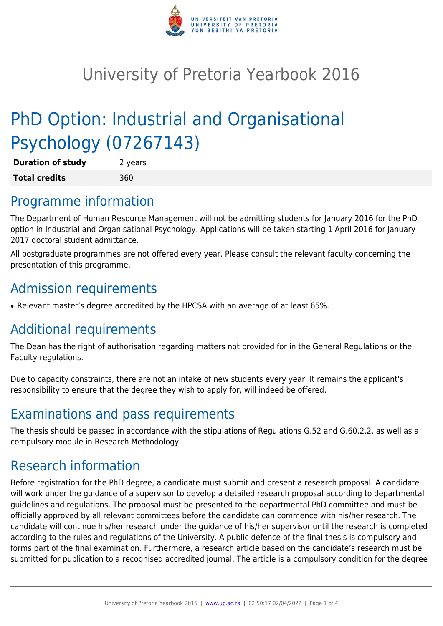

# University of Pretoria Yearbook 2016

# PhD Option: Industrial and Organisational Psychology (07267143)

| <b>Duration of study</b> | 2 years |
|--------------------------|---------|
| <b>Total credits</b>     | 360     |

### Programme information

The Department of Human Resource Management will not be admitting students for January 2016 for the PhD option in Industrial and Organisational Psychology. Applications will be taken starting 1 April 2016 for January 2017 doctoral student admittance.

All postgraduate programmes are not offered every year. Please consult the relevant faculty concerning the presentation of this programme.

# Admission requirements

• Relevant master's degree accredited by the HPCSA with an average of at least 65%.

## Additional requirements

The Dean has the right of authorisation regarding matters not provided for in the General Regulations or the Faculty regulations.

Due to capacity constraints, there are not an intake of new students every year. It remains the applicant's responsibility to ensure that the degree they wish to apply for, will indeed be offered.

### Examinations and pass requirements

The thesis should be passed in accordance with the stipulations of Regulations G.52 and G.60.2.2, as well as a compulsory module in Research Methodology.

### Research information

Before registration for the PhD degree, a candidate must submit and present a research proposal. A candidate will work under the guidance of a supervisor to develop a detailed research proposal according to departmental guidelines and regulations. The proposal must be presented to the departmental PhD committee and must be officially approved by all relevant committees before the candidate can commence with his/her research. The candidate will continue his/her research under the guidance of his/her supervisor until the research is completed according to the rules and regulations of the University. A public defence of the final thesis is compulsory and forms part of the final examination. Furthermore, a research article based on the candidate's research must be submitted for publication to a recognised accredited journal. The article is a compulsory condition for the degree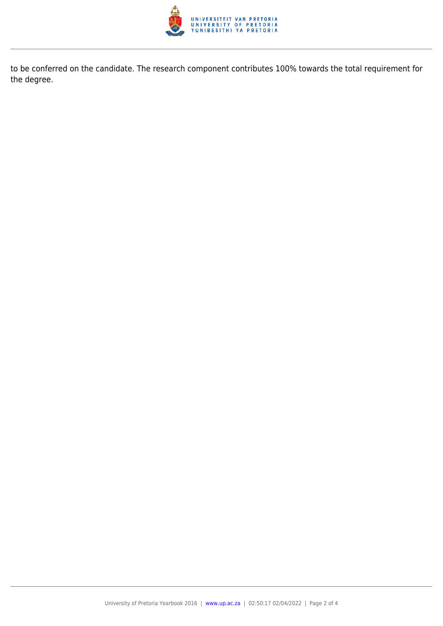

to be conferred on the candidate. The research component contributes 100% towards the total requirement for the degree.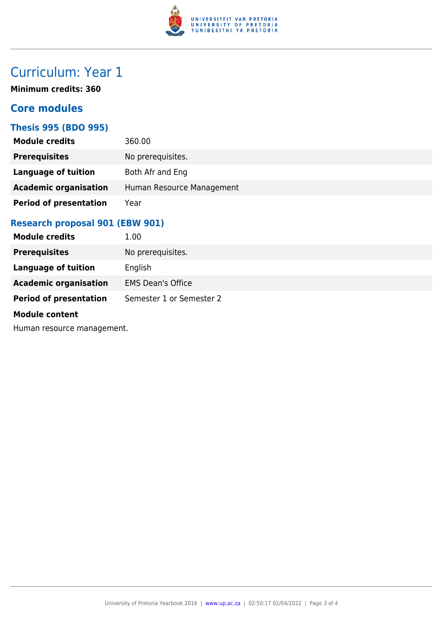

## Curriculum: Year 1

**Minimum credits: 360**

### **Core modules**

#### **Thesis 995 (BDO 995)**

| <b>Module credits</b>         | 360.00                    |
|-------------------------------|---------------------------|
| <b>Prerequisites</b>          | No prerequisites.         |
| Language of tuition           | Both Afr and Eng          |
| <b>Academic organisation</b>  | Human Resource Management |
| <b>Period of presentation</b> | Year                      |

### **Research proposal 901 (EBW 901)**

| <b>Module credits</b>         | 1.00                     |
|-------------------------------|--------------------------|
| <b>Prerequisites</b>          | No prerequisites.        |
| Language of tuition           | English                  |
| <b>Academic organisation</b>  | <b>EMS Dean's Office</b> |
| <b>Period of presentation</b> | Semester 1 or Semester 2 |
|                               |                          |

#### **Module content**

Human resource management.